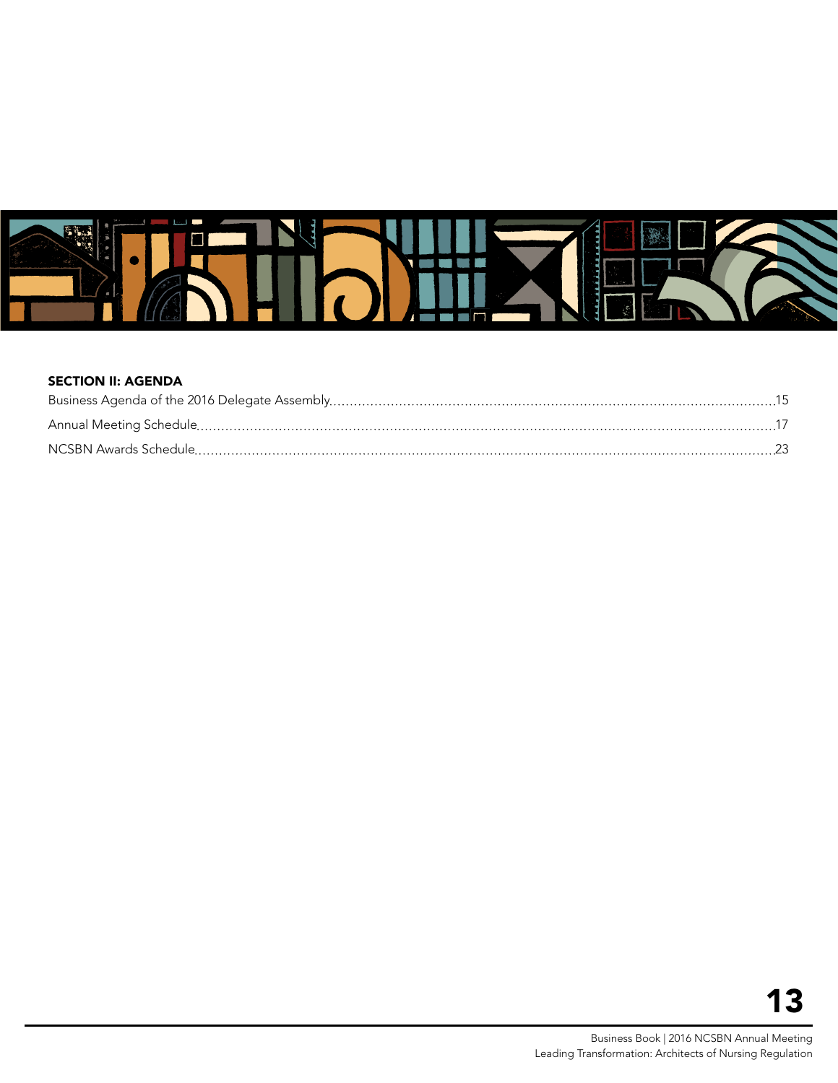

# SECTION II: AGENDA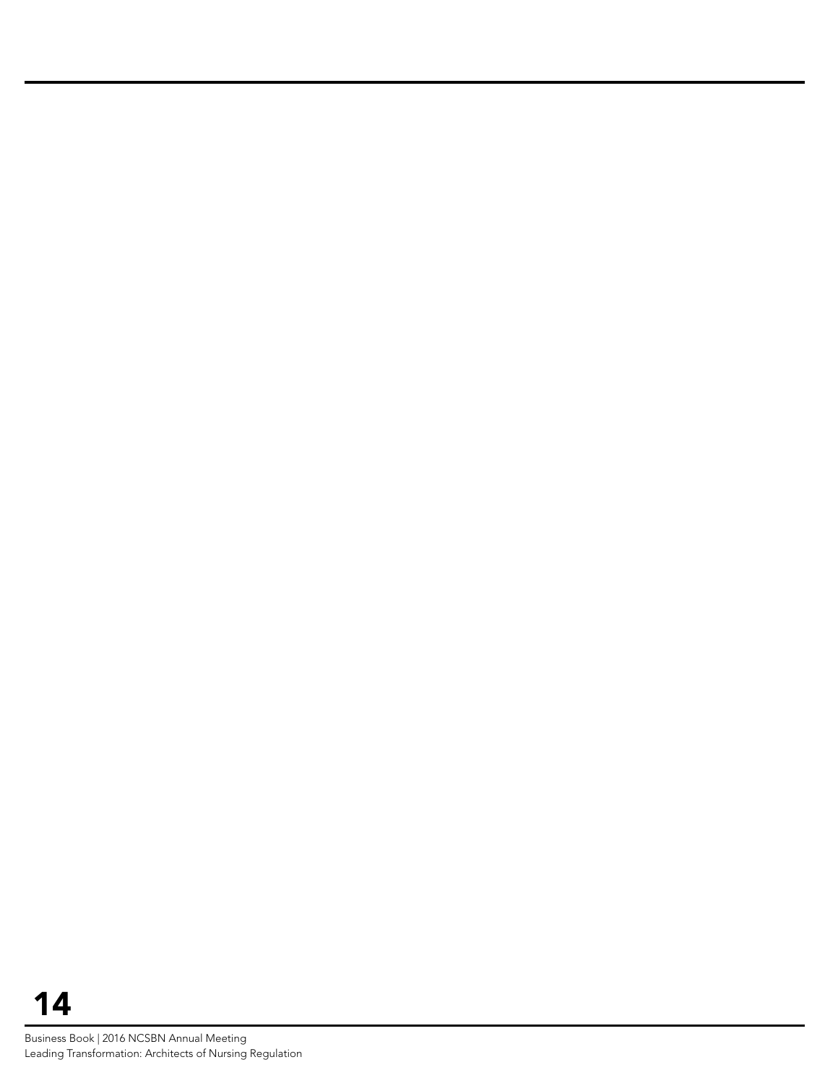# 14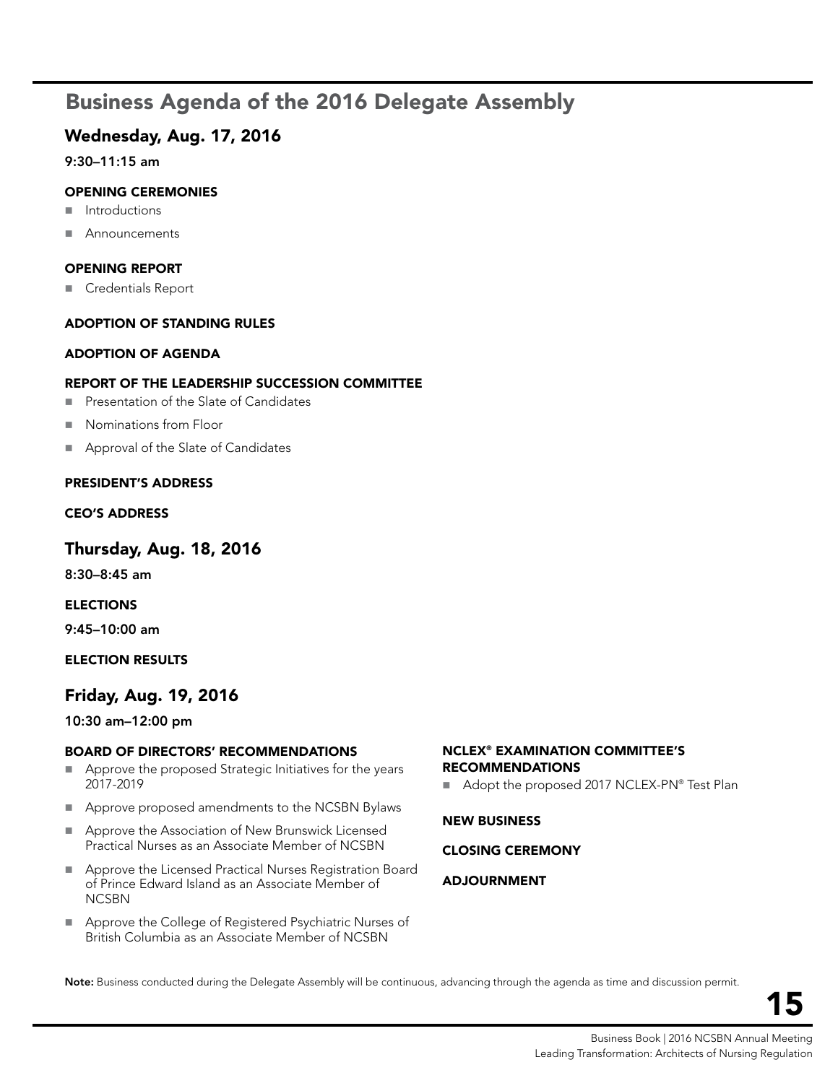# <span id="page-2-0"></span>Business Agenda of the 2016 Delegate Assembly

# Wednesday, Aug. 17, 2016

9:30–11:15 am

# OPENING CEREMONIES

- **Introductions**
- Announcements

# OPENING REPORT

Credentials Report

# ADOPTION OF STANDING RULES

# ADOPTION OF AGENDA

# REPORT OF THE LEADERSHIP SUCCESSION COMMITTEE

- **Presentation of the Slate of Candidates**
- Nominations from Floor
- Approval of the Slate of Candidates

# PRESIDENT'S ADDRESS

# CEO'S ADDRESS

# Thursday, Aug. 18, 2016

8:30–8:45 am

# ELECTIONS

9:45–10:00 am

ELECTION RESULTS

# Friday, Aug. 19, 2016

# 10:30 am–12:00 pm

# BOARD OF DIRECTORS' RECOMMENDATIONS

- Approve the proposed Strategic Initiatives for the years 2017-2019
- Approve proposed amendments to the NCSBN Bylaws
- Approve the Association of New Brunswick Licensed Practical Nurses as an Associate Member of NCSBN
- Approve the Licensed Practical Nurses Registration Board of Prince Edward Island as an Associate Member of NCSBN
- Approve the College of Registered Psychiatric Nurses of British Columbia as an Associate Member of NCSBN

# NCLEX® EXAMINATION COMMITTEE'S RECOMMENDATIONS

■ Adopt the proposed 2017 NCLEX-PN® Test Plan

NEW BUSINESS

CLOSING CEREMONY

ADJOURNMENT

Note: Business conducted during the Delegate Assembly will be continuous, advancing through the agenda as time and discussion permit.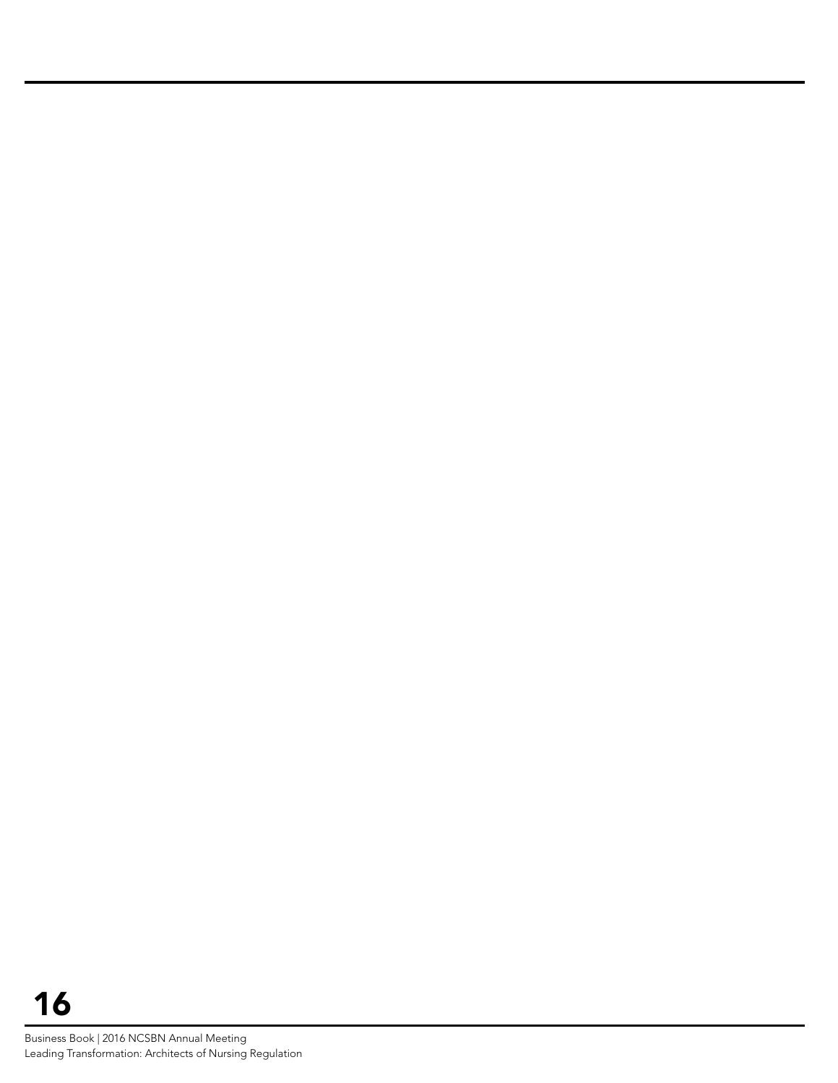# 16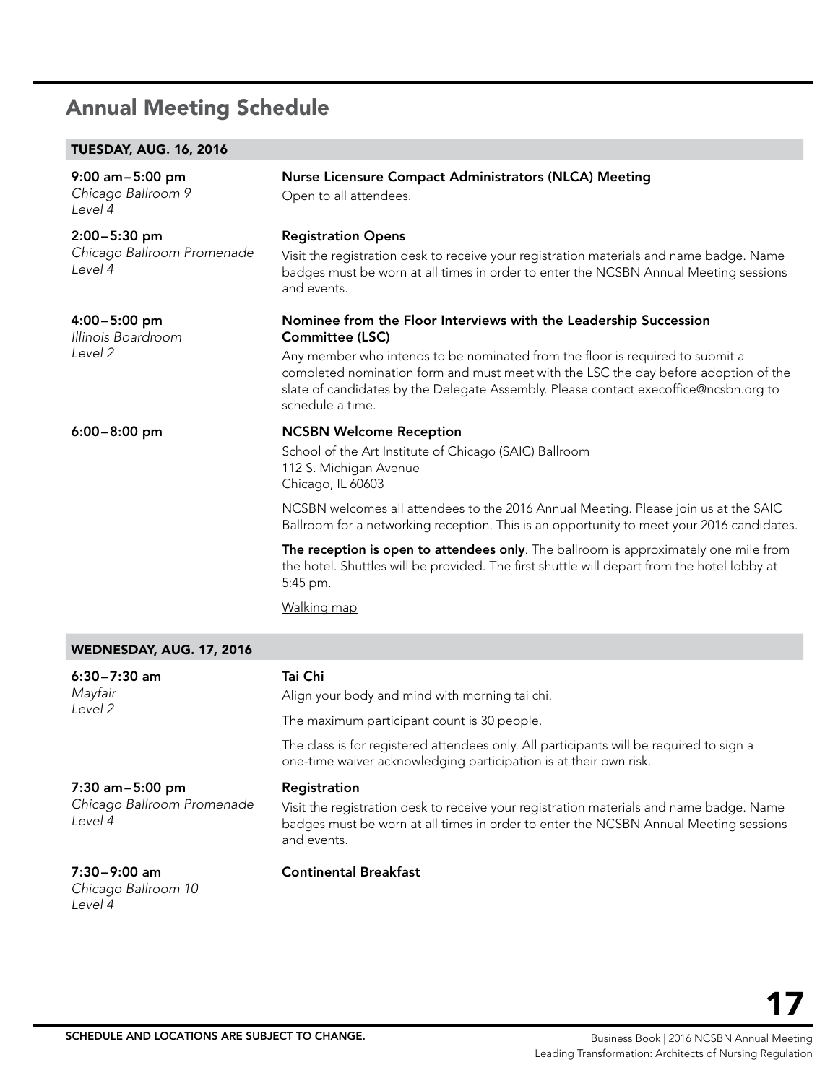# <span id="page-4-0"></span>Annual Meeting Schedule

# TUESDAY, AUG. 16, 2016

| $9:00$ am $-5:00$ pm<br>Chicago Ballroom 9<br>Level 4     | Nurse Licensure Compact Administrators (NLCA) Meeting<br>Open to all attendees.                                                                                                                                                                                                                                                                                                |
|-----------------------------------------------------------|--------------------------------------------------------------------------------------------------------------------------------------------------------------------------------------------------------------------------------------------------------------------------------------------------------------------------------------------------------------------------------|
| $2:00 - 5:30$ pm<br>Chicago Ballroom Promenade<br>Level 4 | <b>Registration Opens</b><br>Visit the registration desk to receive your registration materials and name badge. Name<br>badges must be worn at all times in order to enter the NCSBN Annual Meeting sessions<br>and events.                                                                                                                                                    |
| $4:00 - 5:00$ pm<br>Illinois Boardroom<br>Level 2         | Nominee from the Floor Interviews with the Leadership Succession<br><b>Committee (LSC)</b><br>Any member who intends to be nominated from the floor is required to submit a<br>completed nomination form and must meet with the LSC the day before adoption of the<br>slate of candidates by the Delegate Assembly. Please contact execoffice@ncsbn.org to<br>schedule a time. |
| $6:00 - 8:00$ pm                                          | <b>NCSBN Welcome Reception</b><br>School of the Art Institute of Chicago (SAIC) Ballroom<br>112 S. Michigan Avenue<br>Chicago, IL 60603                                                                                                                                                                                                                                        |
|                                                           | NCSBN welcomes all attendees to the 2016 Annual Meeting. Please join us at the SAIC<br>Ballroom for a networking reception. This is an opportunity to meet your 2016 candidates.                                                                                                                                                                                               |
|                                                           | The reception is open to attendees only. The ballroom is approximately one mile from<br>the hotel. Shuttles will be provided. The first shuttle will depart from the hotel lobby at                                                                                                                                                                                            |

5:45 pm.

[Walking map](https://goo.gl/maps/7xevTsP5nZr)

| WEDNESDAY, AUG. 17, 2016                                 |                                                                                                                                                                                                                |
|----------------------------------------------------------|----------------------------------------------------------------------------------------------------------------------------------------------------------------------------------------------------------------|
| $6:30 - 7:30$ am<br>Mayfair<br>Level 2                   | Tai Chi<br>Align your body and mind with morning tai chi.                                                                                                                                                      |
|                                                          | The maximum participant count is 30 people.                                                                                                                                                                    |
|                                                          | The class is for registered attendees only. All participants will be required to sign a<br>one-time waiver acknowledging participation is at their own risk.                                                   |
| 7:30 am-5:00 pm<br>Chicago Ballroom Promenade<br>Level 4 | Registration<br>Visit the registration desk to receive your registration materials and name badge. Name<br>badges must be worn at all times in order to enter the NCSBN Annual Meeting sessions<br>and events. |
| $7:30 - 9:00$ am<br>Chicago Ballroom 10<br>Level 4       | <b>Continental Breakfast</b>                                                                                                                                                                                   |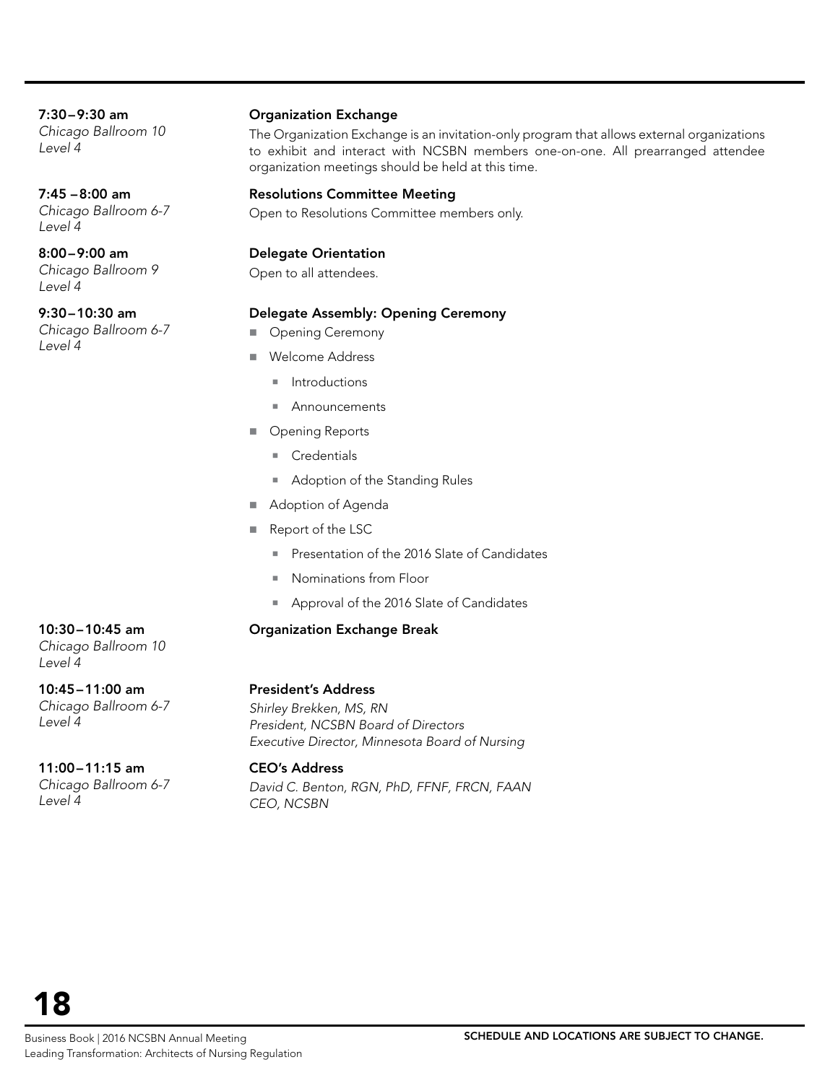7:30–9:30 am *Chicago Ballroom 10 Level 4*

#### 7:45 –8:00 am *Chicago Ballroom 6-7 Level 4*

8:00–9:00 am *Chicago Ballroom 9 Level 4*

# 9:30–10:30 am

*Chicago Ballroom 6-7 Level 4*

# Organization Exchange

The Organization Exchange is an invitation-only program that allows external organizations to exhibit and interact with NCSBN members one-on-one. All prearranged attendee organization meetings should be held at this time.

# Resolutions Committee Meeting

Open to Resolutions Committee members only.

# Delegate Orientation

Open to all attendees.

# Delegate Assembly: Opening Ceremony

- **Dening Ceremony**
- Welcome Address
	- **Introductions**
	- **Announcements**
- Opening Reports
	- Credentials
	- **Adoption of the Standing Rules**
- Adoption of Agenda
- Report of the LSC
	- Presentation of the 2016 Slate of Candidates
	- Nominations from Floor
	- **Approval of the 2016 Slate of Candidates**

# Organization Exchange Break

# President's Address

*Shirley Brekken, MS, RN President, NCSBN Board of Directors Executive Director, Minnesota Board of Nursing*

# CEO's Address

*David C. Benton, RGN, PhD, FFNF, FRCN, FAAN CEO, NCSBN*

10:45–11:00 am *Chicago Ballroom 6-7 Level 4*

#### 11:00–11:15 am *Chicago Ballroom 6-7 Level 4*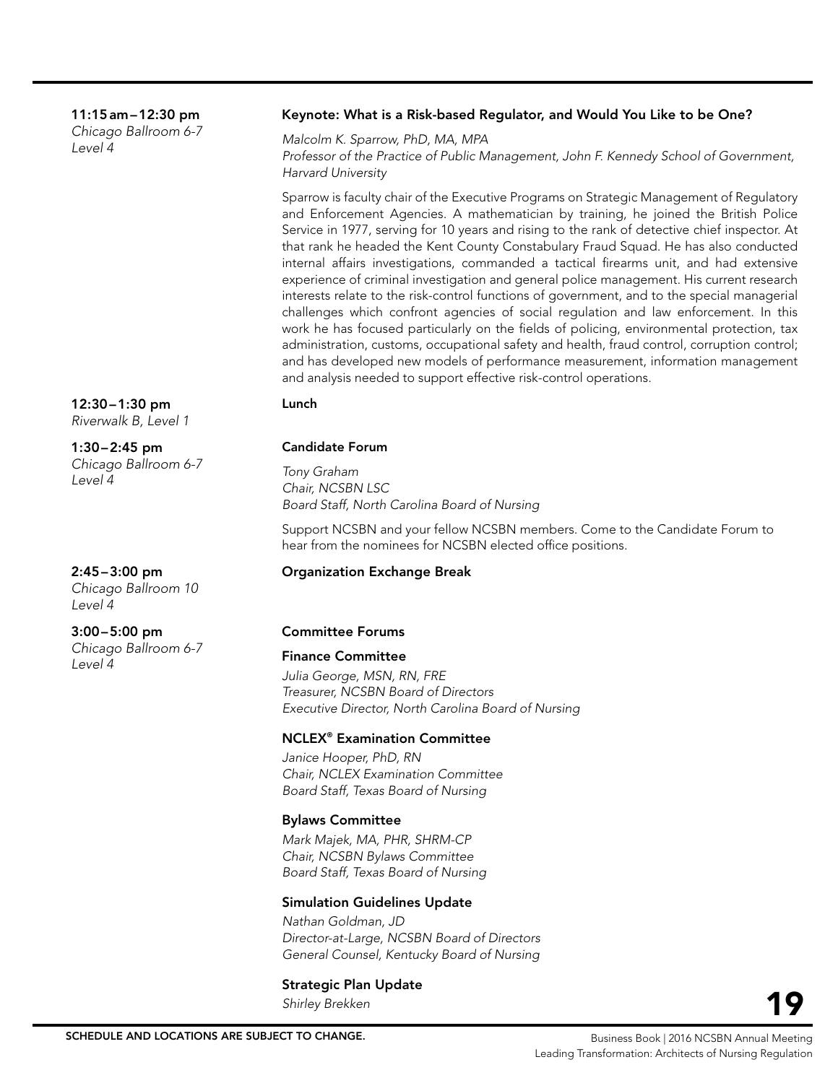#### 11:15am–12:30 pm

*Chicago Ballroom 6-7 Level 4*

12:30–1:30 pm *Riverwalk B, Level 1*

1:30–2:45 pm *Chicago Ballroom 6-7*

2:45–3:00 pm *Chicago Ballroom 10*

3:00–5:00 pm *Chicago Ballroom 6-7*

*Level 4*

*Level 4*

*Level 4*

#### Keynote: What is a Risk-based Regulator, and Would You Like to be One?

*Malcolm K. Sparrow, PhD, MA, MPA Professor of the Practice of Public Management, John F. Kennedy School of Government, Harvard University* 

Sparrow is faculty chair of the Executive Programs on Strategic Management of Regulatory and Enforcement Agencies. A mathematician by training, he joined the British Police Service in 1977, serving for 10 years and rising to the rank of detective chief inspector. At that rank he headed the Kent County Constabulary Fraud Squad. He has also conducted internal affairs investigations, commanded a tactical firearms unit, and had extensive experience of criminal investigation and general police management. His current research interests relate to the risk-control functions of government, and to the special managerial challenges which confront agencies of social regulation and law enforcement. In this work he has focused particularly on the fields of policing, environmental protection, tax administration, customs, occupational safety and health, fraud control, corruption control; and has developed new models of performance measurement, information management and analysis needed to support effective risk-control operations.

#### Lunch

#### Candidate Forum

*Tony Graham Chair, NCSBN LSC Board Staff, North Carolina Board of Nursing* 

Support NCSBN and your fellow NCSBN members. Come to the Candidate Forum to hear from the nominees for NCSBN elected office positions.

# Organization Exchange Break

# Committee Forums

#### Finance Committee

*Julia George, MSN, RN, FRE Treasurer, NCSBN Board of Directors Executive Director, North Carolina Board of Nursing*

#### NCLEX® Examination Committee

*Janice Hooper, PhD, RN Chair, NCLEX Examination Committee Board Staff, Texas Board of Nursing*

# Bylaws Committee

*Mark Majek, MA, PHR, SHRM-CP Chair, NCSBN Bylaws Committee Board Staff, Texas Board of Nursing*

#### Simulation Guidelines Update

*Nathan Goldman, JD Director-at-Large, NCSBN Board of Directors General Counsel, Kentucky Board of Nursing*

Strategic Plan Update *Shirley Brekken*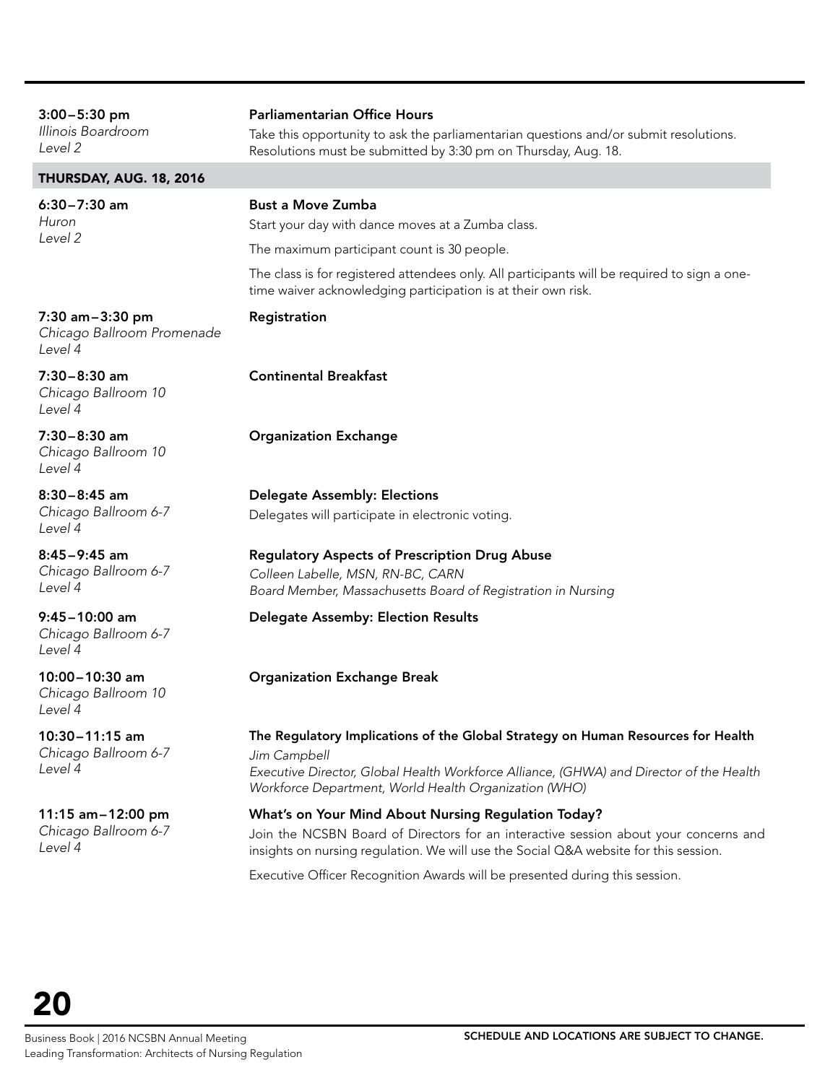| $3:00 - 5:30$ pm<br>Illinois Boardroom<br>Level 2        | <b>Parliamentarian Office Hours</b><br>Take this opportunity to ask the parliamentarian questions and/or submit resolutions.<br>Resolutions must be submitted by 3:30 pm on Thursday, Aug. 18.                                      |
|----------------------------------------------------------|-------------------------------------------------------------------------------------------------------------------------------------------------------------------------------------------------------------------------------------|
| THURSDAY, AUG. 18, 2016                                  |                                                                                                                                                                                                                                     |
| $6:30 - 7:30$ am                                         | <b>Bust a Move Zumba</b>                                                                                                                                                                                                            |
| Huron                                                    | Start your day with dance moves at a Zumba class.                                                                                                                                                                                   |
| Level 2                                                  | The maximum participant count is 30 people.                                                                                                                                                                                         |
|                                                          | The class is for registered attendees only. All participants will be required to sign a one-<br>time waiver acknowledging participation is at their own risk.                                                                       |
| 7:30 am-3:30 pm<br>Chicago Ballroom Promenade<br>Level 4 | Registration                                                                                                                                                                                                                        |
| $7:30 - 8:30$ am<br>Chicago Ballroom 10<br>Level 4       | <b>Continental Breakfast</b>                                                                                                                                                                                                        |
| $7:30 - 8:30$ am<br>Chicago Ballroom 10<br>Level 4       | <b>Organization Exchange</b>                                                                                                                                                                                                        |
| $8:30 - 8:45$ am                                         | <b>Delegate Assembly: Elections</b>                                                                                                                                                                                                 |
| Chicago Ballroom 6-7<br>Level 4                          | Delegates will participate in electronic voting.                                                                                                                                                                                    |
| $8:45-9:45$ am                                           | <b>Regulatory Aspects of Prescription Drug Abuse</b>                                                                                                                                                                                |
| Chicago Ballroom 6-7<br>Level 4                          | Colleen Labelle, MSN, RN-BC, CARN<br>Board Member, Massachusetts Board of Registration in Nursing                                                                                                                                   |
| $9:45 - 10:00$ am<br>Chicago Ballroom 6-7<br>Level 4     | <b>Delegate Assemby: Election Results</b>                                                                                                                                                                                           |
| 10:00-10:30 am<br>Chicago Ballroom 10<br>Level 4         | <b>Organization Exchange Break</b>                                                                                                                                                                                                  |
| 10:30-11:15 am                                           | The Regulatory Implications of the Global Strategy on Human Resources for Health                                                                                                                                                    |
| Chicago Ballroom 6-7<br>Level 4                          | Jim Campbell<br>Executive Director, Global Health Workforce Alliance, (GHWA) and Director of the Health<br>Workforce Department, World Health Organization (WHO)                                                                    |
| 11:15 am-12:00 pm<br>Chicago Ballroom 6-7<br>Level 4     | What's on Your Mind About Nursing Regulation Today?<br>Join the NCSBN Board of Directors for an interactive session about your concerns and<br>insights on nursing regulation. We will use the Social Q&A website for this session. |
|                                                          | Executive Officer Recognition Awards will be presented during this session.                                                                                                                                                         |
|                                                          |                                                                                                                                                                                                                                     |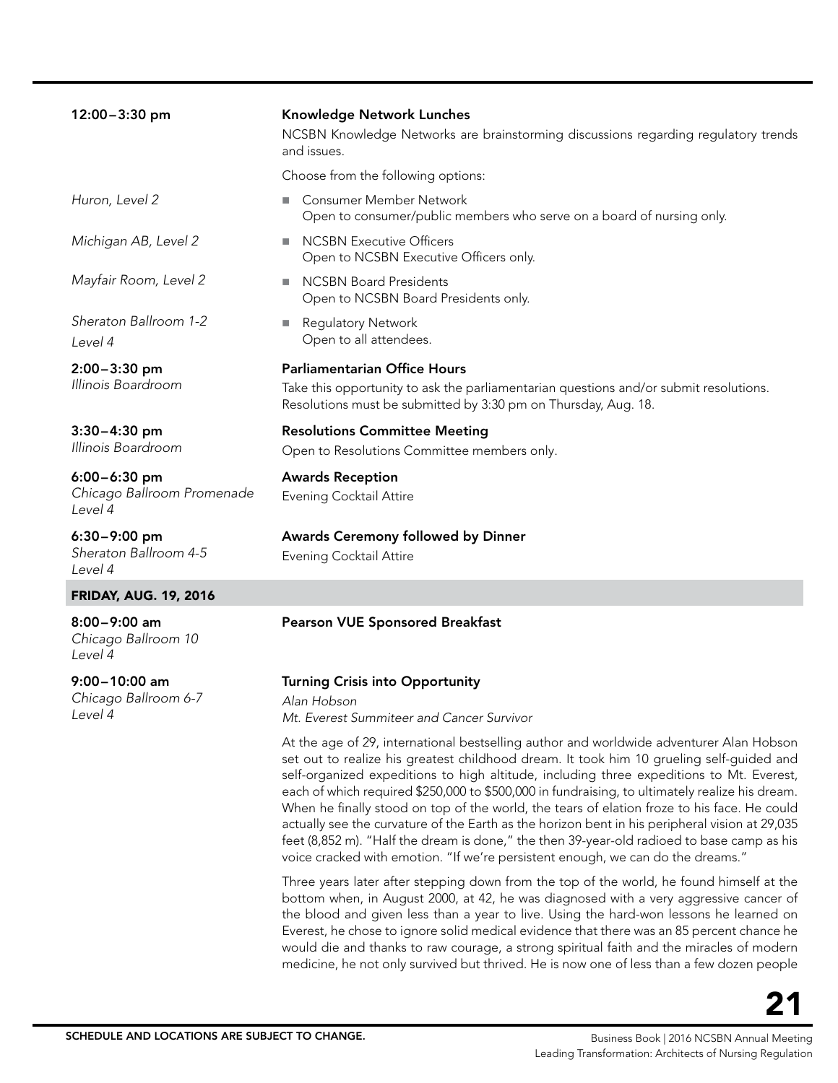| $12:00 - 3:30$ pm                                         | <b>Knowledge Network Lunches</b><br>NCSBN Knowledge Networks are brainstorming discussions regarding regulatory trends<br>and issues.                                                                                                                                                                                                                                                                                                                                                                                                                                                                                                                                                                                                                               |
|-----------------------------------------------------------|---------------------------------------------------------------------------------------------------------------------------------------------------------------------------------------------------------------------------------------------------------------------------------------------------------------------------------------------------------------------------------------------------------------------------------------------------------------------------------------------------------------------------------------------------------------------------------------------------------------------------------------------------------------------------------------------------------------------------------------------------------------------|
|                                                           | Choose from the following options:                                                                                                                                                                                                                                                                                                                                                                                                                                                                                                                                                                                                                                                                                                                                  |
| Huron, Level 2                                            | <b>Consumer Member Network</b><br><b>I</b><br>Open to consumer/public members who serve on a board of nursing only.                                                                                                                                                                                                                                                                                                                                                                                                                                                                                                                                                                                                                                                 |
| Michigan AB, Level 2                                      | <b>NCSBN Executive Officers</b><br>a.<br>Open to NCSBN Executive Officers only.                                                                                                                                                                                                                                                                                                                                                                                                                                                                                                                                                                                                                                                                                     |
| Mayfair Room, Level 2                                     | NCSBN Board Presidents<br>Open to NCSBN Board Presidents only.                                                                                                                                                                                                                                                                                                                                                                                                                                                                                                                                                                                                                                                                                                      |
| Sheraton Ballroom 1-2<br>Level 4                          | <b>Regulatory Network</b><br>$\mathcal{L}_{\mathcal{A}}$<br>Open to all attendees.                                                                                                                                                                                                                                                                                                                                                                                                                                                                                                                                                                                                                                                                                  |
| $2:00 - 3:30$ pm<br>Illinois Boardroom                    | <b>Parliamentarian Office Hours</b><br>Take this opportunity to ask the parliamentarian questions and/or submit resolutions.<br>Resolutions must be submitted by 3:30 pm on Thursday, Aug. 18.                                                                                                                                                                                                                                                                                                                                                                                                                                                                                                                                                                      |
| $3:30 - 4:30$ pm<br>Illinois Boardroom                    | <b>Resolutions Committee Meeting</b><br>Open to Resolutions Committee members only.                                                                                                                                                                                                                                                                                                                                                                                                                                                                                                                                                                                                                                                                                 |
| $6:00 - 6:30$ pm<br>Chicago Ballroom Promenade<br>Level 4 | <b>Awards Reception</b><br><b>Evening Cocktail Attire</b>                                                                                                                                                                                                                                                                                                                                                                                                                                                                                                                                                                                                                                                                                                           |
| $6:30 - 9:00$ pm<br>Sheraton Ballroom 4-5<br>Level 4      | <b>Awards Ceremony followed by Dinner</b><br><b>Evening Cocktail Attire</b>                                                                                                                                                                                                                                                                                                                                                                                                                                                                                                                                                                                                                                                                                         |
| <b>FRIDAY, AUG. 19, 2016</b>                              |                                                                                                                                                                                                                                                                                                                                                                                                                                                                                                                                                                                                                                                                                                                                                                     |
| $8:00 - 9:00$ am<br>Chicago Ballroom 10<br>Level 4        | <b>Pearson VUE Sponsored Breakfast</b>                                                                                                                                                                                                                                                                                                                                                                                                                                                                                                                                                                                                                                                                                                                              |
| $9:00 - 10:00$ am<br>Chicago Ballroom 6-7<br>Level 4      | <b>Turning Crisis into Opportunity</b><br>Alan Hobson<br>Mt. Everest Summiteer and Cancer Survivor                                                                                                                                                                                                                                                                                                                                                                                                                                                                                                                                                                                                                                                                  |
|                                                           | At the age of 29, international bestselling author and worldwide adventurer Alan Hobson<br>set out to realize his greatest childhood dream. It took him 10 grueling self-guided and<br>self-organized expeditions to high altitude, including three expeditions to Mt. Everest,<br>each of which required \$250,000 to \$500,000 in fundraising, to ultimately realize his dream.<br>When he finally stood on top of the world, the tears of elation froze to his face. He could<br>actually see the curvature of the Earth as the horizon bent in his peripheral vision at 29,035<br>feet (8,852 m). "Half the dream is done," the then 39-year-old radioed to base camp as his<br>voice cracked with emotion. "If we're persistent enough, we can do the dreams." |
|                                                           | Three years later after stepping down from the top of the world, he found himself at the                                                                                                                                                                                                                                                                                                                                                                                                                                                                                                                                                                                                                                                                            |

Three years later after stepping down from the top of the world, he found himself at the bottom when, in August 2000, at 42, he was diagnosed with a very aggressive cancer of the blood and given less than a year to live. Using the hard-won lessons he learned on Everest, he chose to ignore solid medical evidence that there was an 85 percent chance he would die and thanks to raw courage, a strong spiritual faith and the miracles of modern medicine, he not only survived but thrived. He is now one of less than a few dozen people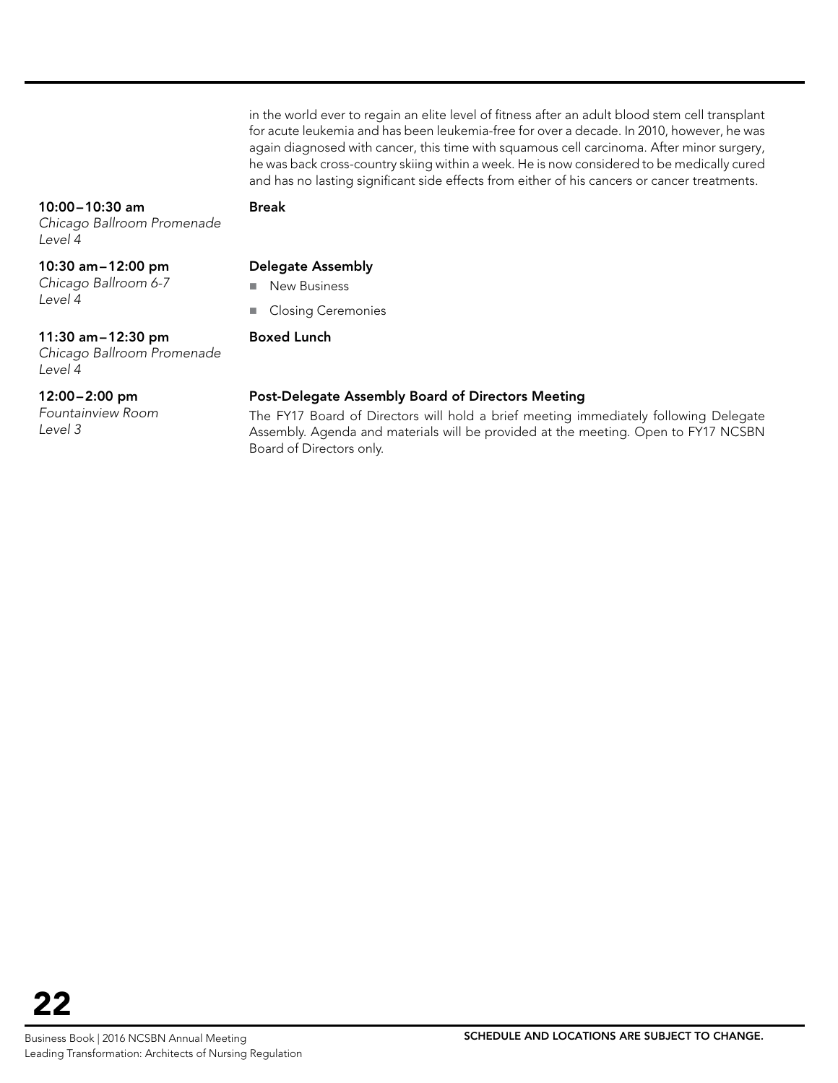in the world ever to regain an elite level of fitness after an adult blood stem cell transplant for acute leukemia and has been leukemia-free for over a decade. In 2010, however, he was again diagnosed with cancer, this time with squamous cell carcinoma. After minor surgery, he was back cross-country skiing within a week. He is now considered to be medically cured and has no lasting significant side effects from either of his cancers or cancer treatments.

# Break

*Chicago Ballroom Promenade Level 4*

# 10:30 am–12:00 pm

 $10:00 - 10:30$  am

*Chicago Ballroom 6-7 Level 4*

# 11:30 am–12:30 pm

*Chicago Ballroom Promenade Level 4*

# 12:00–2:00 pm

*Fountainview Room Level 3*

# Delegate Assembly

- New Business
- Closing Ceremonies

# Boxed Lunch

# Post-Delegate Assembly Board of Directors Meeting

The FY17 Board of Directors will hold a brief meeting immediately following Delegate Assembly. Agenda and materials will be provided at the meeting. Open to FY17 NCSBN Board of Directors only.